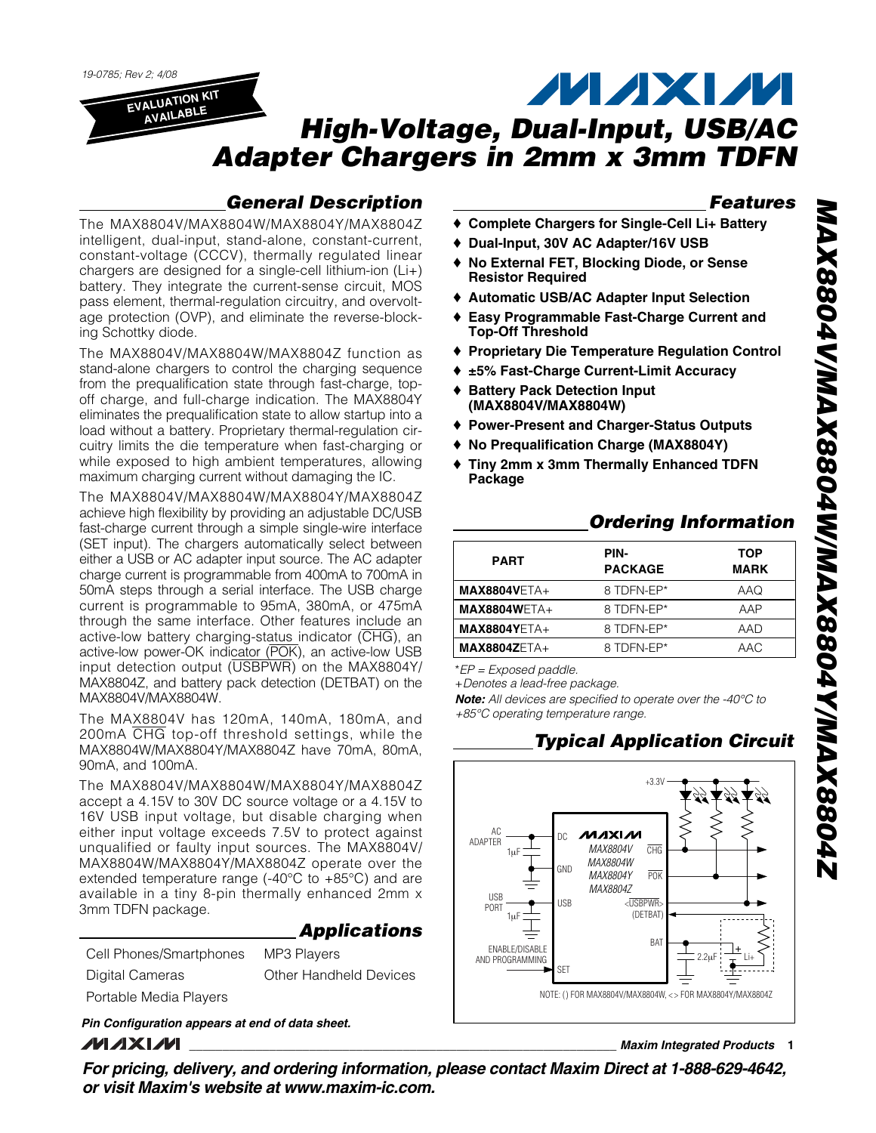19-0785; Rev 2; 4/08

**AVAILABLE**

**MAXM EVALUATION KIT High-Voltage, Dual-Input, USB/AC Adapter Chargers in 2mm x 3mm TDFN**

## **General Description**

The MAX8804V/MAX8804W/MAX8804Y/MAX8804Z intelligent, dual-input, stand-alone, constant-current, constant-voltage (CCCV), thermally regulated linear chargers are designed for a single-cell lithium-ion (Li+) battery. They integrate the current-sense circuit, MOS pass element, thermal-regulation circuitry, and overvoltage protection (OVP), and eliminate the reverse-blocking Schottky diode.

The MAX8804V/MAX8804W/MAX8804Z function as stand-alone chargers to control the charging sequence from the prequalification state through fast-charge, topoff charge, and full-charge indication. The MAX8804Y eliminates the prequalification state to allow startup into a load without a battery. Proprietary thermal-regulation circuitry limits the die temperature when fast-charging or while exposed to high ambient temperatures, allowing maximum charging current without damaging the IC.

The MAX8804V/MAX8804W/MAX8804Y/MAX8804Z achieve high flexibility by providing an adjustable DC/USB fast-charge current through a simple single-wire interface (SET input). The chargers automatically select between either a USB or AC adapter input source. The AC adapter charge current is programmable from 400mA to 700mA in 50mA steps through a serial interface. The USB charge current is programmable to 95mA, 380mA, or 475mA through the same interface. Other features include an active-low battery charging-status indicator (CHG), an active-low power-OK indicator (POK), an active-low USB input detection output (USBPWR) on the MAX8804Y/ MAX8804Z, and battery pack detection (DETBAT) on the MAX8804V/MAX8804W.

The MAX8804V has 120mA, 140mA, 180mA, and 200mA CHG top-off threshold settings, while the MAX8804W/MAX8804Y/MAX8804Z have 70mA, 80mA, 90mA, and 100mA.

The MAX8804V/MAX8804W/MAX8804Y/MAX8804Z accept a 4.15V to 30V DC source voltage or a 4.15V to 16V USB input voltage, but disable charging when either input voltage exceeds 7.5V to protect against unqualified or faulty input sources. The MAX8804V/ MAX8804W/MAX8804Y/MAX8804Z operate over the extended temperature range (-40°C to +85°C) and are available in a tiny 8-pin thermally enhanced 2mm x 3mm TDFN package.

|                         | <b>Applications</b>    |
|-------------------------|------------------------|
| Cell Phones/Smartphones | <b>MP3 Players</b>     |
| Digital Cameras         | Other Handheld Devices |
| Portable Media Players  |                        |
|                         |                        |

**Pin Configuration appears at end of data sheet.** МИХИИ

**Features**

- ♦ **Complete Chargers for Single-Cell Li+ Battery**
- ♦ **Dual-Input, 30V AC Adapter/16V USB**
- ♦ **No External FET, Blocking Diode, or Sense Resistor Required**
- ♦ **Automatic USB/AC Adapter Input Selection**
- ♦ **Easy Programmable Fast-Charge Current and Top-Off Threshold**
- ♦ **Proprietary Die Temperature Regulation Control**
- ♦ **±5% Fast-Charge Current-Limit Accuracy**
- **Battery Pack Detection Input (MAX8804V/MAX8804W)**
- ♦ **Power-Present and Charger-Status Outputs**
- ♦ **No Prequalification Charge (MAX8804Y)**
- ♦ **Tiny 2mm x 3mm Thermally Enhanced TDFN Package**

## **Ordering Information**

| <b>PART</b>         | PIN-<br><b>PACKAGE</b> | <b>TOP</b><br><b>MARK</b> |
|---------------------|------------------------|---------------------------|
| <b>MAX8804VETA+</b> | 8 TDFN-EP*             | AAQ                       |
| $MAX8804WETA+$      | 8 TDFN-EP*             | AAP                       |
| $MAX8804YETA+$      | 8 TDFN-EP*             | AAD                       |
| $MAX8804ZETA+$      | 8 TDFN-EP*             | AAC                       |

\*EP = Exposed paddle.

+Denotes a lead-free package.

**Note:** All devices are specified to operate over the -40°C to +85°C operating temperature range.

## **Typical Application Circuit**



**\_\_\_\_\_\_\_\_\_\_\_\_\_\_\_\_\_\_\_\_\_\_\_\_\_\_\_\_\_\_\_\_\_\_\_\_\_\_\_\_\_\_\_\_\_\_\_\_\_\_\_\_\_\_\_\_\_\_\_\_\_\_\_\_ Maxim Integrated Products 1**

**For pricing, delivery, and ordering information, please contact Maxim Direct at 1-888-629-4642, or visit Maxim's website at www.maxim-ic.com.**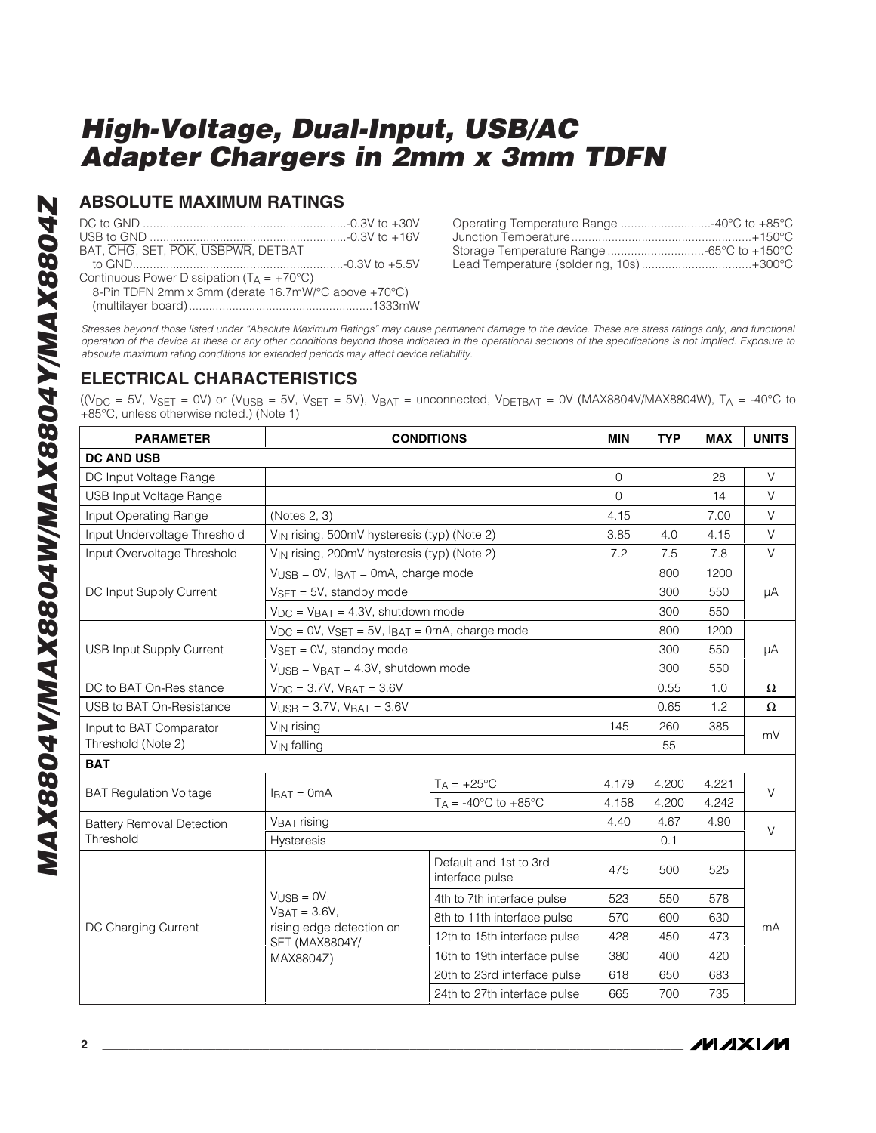### **ABSOLUTE MAXIMUM RATINGS**

| BAT, CHG, SET, POK, USBPWR, DETBAT                          |  |
|-------------------------------------------------------------|--|
|                                                             |  |
| Continuous Power Dissipation $(T_A = +70^{\circ}C)$         |  |
| $0$ Die IDEN 9mm v.3mm (derete 16.7m $M/20$ ebeve $.702$ C) |  |

| Operating Temperature Range 40°C to +85°C |  |
|-------------------------------------------|--|
|                                           |  |
|                                           |  |
| Lead Temperature (soldering, 10s)+300°C   |  |

8-Pin TDFN 2mm x 3mm (derate 16.7mW/°C above +70°C) (multilayer board).......................................................1333mW

Stresses beyond those listed under "Absolute Maximum Ratings" may cause permanent damage to the device. These are stress ratings only, and functional operation of the device at these or any other conditions beyond those indicated in the operational sections of the specifications is not implied. Exposure to absolute maximum rating conditions for extended periods may affect device reliability.

## **ELECTRICAL CHARACTERISTICS**

((V<sub>DC</sub> = 5V, V<sub>SET</sub> = 0V) or (V<sub>USB</sub> = 5V, V<sub>SET</sub> = 5V), V<sub>BAT</sub> = unconnected, V<sub>DETBAT</sub> = 0V (MAX8804V/MAX8804W), T<sub>A</sub> = -40°C to +85°C, unless otherwise noted.) (Note 1)

| <b>PARAMETER</b>                 |                                                                      | <b>CONDITIONS</b>                         | <b>MIN</b> | <b>TYP</b> | <b>MAX</b> | <b>UNITS</b> |  |
|----------------------------------|----------------------------------------------------------------------|-------------------------------------------|------------|------------|------------|--------------|--|
| <b>DC AND USB</b>                |                                                                      |                                           |            |            |            |              |  |
| DC Input Voltage Range           |                                                                      |                                           | 0          |            | 28         | $\vee$       |  |
| USB Input Voltage Range          |                                                                      |                                           | 0          |            | 14         | $\vee$       |  |
| Input Operating Range            | (Notes 2, 3)                                                         |                                           | 4.15       |            | 7.00       | V            |  |
| Input Undervoltage Threshold     | V <sub>IN</sub> rising, 500mV hysteresis (typ) (Note 2)              |                                           | 3.85       | 4.0        | 4.15       | $\vee$       |  |
| Input Overvoltage Threshold      | V <sub>IN</sub> rising, 200mV hysteresis (typ) (Note 2)              |                                           | 7.2        | 7.5        | 7.8        | $\vee$       |  |
|                                  | $V_{\text{USB}} = 0V$ , $I_{\text{BAT}} = 0 \text{mA}$ , charge mode |                                           |            | 800        | 1200       |              |  |
| DC Input Supply Current          | $VSET = 5V$ , standby mode                                           |                                           |            | 300        | 550        | μA           |  |
|                                  | $V_{DC}$ = $V_{BAT}$ = 4.3V, shutdown mode                           |                                           |            | 300        | 550        |              |  |
|                                  | $V_{DC} = 0V$ , $V_{SET} = 5V$ , $I_{BAT} = 0mA$ , charge mode       |                                           |            | 800        | 1200       |              |  |
| <b>USB Input Supply Current</b>  | $VSET = 0V$ , standby mode                                           |                                           |            | 300        | 550        | μA           |  |
|                                  | $V_{\text{USB}} = V_{\text{BAT}} = 4.3V$ , shutdown mode             |                                           |            | 300        | 550        |              |  |
| DC to BAT On-Resistance          | $V_{DC} = 3.7V$ , $V_{BAT} = 3.6V$                                   |                                           |            | 0.55       | 1.0        | $\Omega$     |  |
| USB to BAT On-Resistance         | $V_{\text{USB}} = 3.7V$ , $V_{\text{BAT}} = 3.6V$                    |                                           |            | 0.65       | 1.2        | Ω            |  |
| Input to BAT Comparator          | V <sub>IN</sub> rising                                               |                                           | 145        | 260        | 385        | mV           |  |
| Threshold (Note 2)               | V <sub>IN</sub> falling                                              |                                           |            | 55         |            |              |  |
| <b>BAT</b>                       |                                                                      |                                           |            |            |            |              |  |
| <b>BAT Regulation Voltage</b>    | $IBAT = 0mA$                                                         | $T_A = +25$ °C                            | 4.179      | 4.200      | 4.221      | $\vee$       |  |
|                                  |                                                                      | $T_A = -40^{\circ}$ C to $+85^{\circ}$ C  | 4.158      | 4.200      | 4.242      |              |  |
| <b>Battery Removal Detection</b> | <b>VBAT rising</b>                                                   |                                           | 4.40       | 4.67       | 4.90       | V            |  |
| Threshold                        | Hysteresis                                                           |                                           |            | 0.1        |            |              |  |
|                                  |                                                                      | Default and 1st to 3rd<br>interface pulse | 475        | 500        | 525        |              |  |
|                                  | $V_{\text{USB}} = 0V$ ,                                              | 4th to 7th interface pulse                | 523        | 550        | 578        | mA           |  |
|                                  | $VBAT = 3.6V$ ,                                                      | 8th to 11th interface pulse               | 570        | 600        | 630        |              |  |
| DC Charging Current              | rising edge detection on<br><b>SET (MAX8804Y/</b>                    | 12th to 15th interface pulse              | 428        | 450        | 473        |              |  |
|                                  | MAX8804Z)                                                            | 16th to 19th interface pulse              | 380        | 400        | 420        |              |  |
|                                  |                                                                      | 20th to 23rd interface pulse              | 618        | 650        | 683        |              |  |
|                                  |                                                                      | 24th to 27th interface pulse              | 665        | 700        | 735        |              |  |

**MAX8804V/MAX8804W/MAX8804Y/MAX8804Z** MAX8804V/MAX8804W/MAX8804Y/MAX8804Z

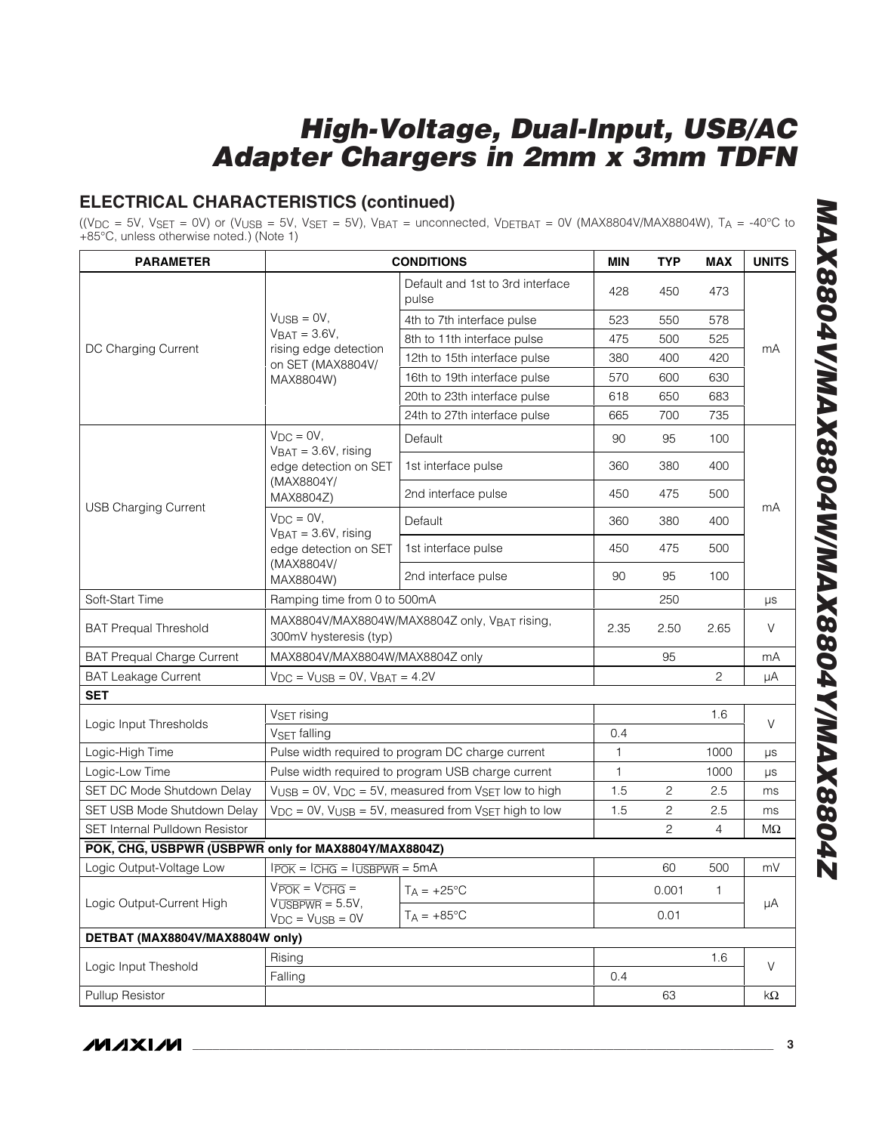## **ELECTRICAL CHARACTERISTICS (continued)**

((V<sub>DC</sub> = 5V, V<sub>SET</sub> = 0V) or (V<sub>USB</sub> = 5V, V<sub>SET</sub> = 5V), V<sub>BAT</sub> = unconnected, V<sub>DETBAT</sub> = 0V (MAX8804V/MAX8804W), T<sub>A</sub> = -40°C to +85°C, unless otherwise noted.) (Note 1)

| <b>PARAMETER</b>                                     |                                                                             | <b>CONDITIONS</b>                                                                         | <b>MIN</b> | TYP   | <b>MAX</b>     | <b>UNITS</b> |
|------------------------------------------------------|-----------------------------------------------------------------------------|-------------------------------------------------------------------------------------------|------------|-------|----------------|--------------|
|                                                      |                                                                             | Default and 1st to 3rd interface<br>pulse                                                 | 428        | 450   | 473            |              |
|                                                      | $V_{\text{USB}} = 0V$ ,                                                     | 4th to 7th interface pulse                                                                | 523        | 550   | 578            |              |
|                                                      | $V_{BAT} = 3.6V,$                                                           | 8th to 11th interface pulse                                                               | 475        | 500   | 525            |              |
| DC Charging Current                                  | rising edge detection<br>on SET (MAX8804V/                                  | 12th to 15th interface pulse                                                              | 380        | 400   | 420            | mA           |
|                                                      | MAX8804W)                                                                   | 16th to 19th interface pulse                                                              | 570        | 600   | 630            |              |
|                                                      |                                                                             | 20th to 23th interface pulse                                                              | 618        | 650   | 683            |              |
|                                                      |                                                                             | 24th to 27th interface pulse                                                              | 665        | 700   | 735            |              |
|                                                      | $V_{DC} = 0V$ ,<br>$VBAT = 3.6V$ , rising                                   | Default                                                                                   | 90         | 95    | 100            |              |
|                                                      | edge detection on SET<br>(MAX8804Y/                                         | 1st interface pulse                                                                       | 360        | 380   | 400            |              |
| <b>USB Charging Current</b>                          | MAX8804Z)                                                                   | 2nd interface pulse                                                                       | 450        | 475   | 500            | mA           |
|                                                      | $V_{DC} = 0V$ ,<br>$VBAT = 3.6V$ , rising                                   | Default                                                                                   | 360        | 380   | 400            |              |
|                                                      | edge detection on SET                                                       | 1st interface pulse                                                                       | 450        | 475   | 500            |              |
|                                                      | (MAX8804V/<br>MAX8804W)                                                     | 2nd interface pulse                                                                       | 90         | 95    | 100            |              |
| Soft-Start Time                                      | Ramping time from 0 to 500mA                                                |                                                                                           |            | 250   |                | μs           |
| <b>BAT Prequal Threshold</b>                         | 300mV hysteresis (typ)                                                      | MAX8804V/MAX8804W/MAX8804Z only, VBAT rising,                                             | 2.35       | 2.50  | 2.65           | V            |
| <b>BAT Prequal Charge Current</b>                    | MAX8804V/MAX8804W/MAX8804Z only                                             |                                                                                           |            | 95    |                | mA           |
| <b>BAT Leakage Current</b>                           | $V_{DC}$ = $V_{USB}$ = 0V, $V_{BAT}$ = 4.2V                                 |                                                                                           |            |       | $\mathbf{2}$   | μA           |
| <b>SET</b>                                           |                                                                             |                                                                                           |            |       |                |              |
|                                                      | V <sub>SET</sub> rising                                                     |                                                                                           |            |       | 1.6            |              |
| Logic Input Thresholds                               | V <sub>SET</sub> falling                                                    |                                                                                           | 0.4        |       |                | V            |
| Logic-High Time                                      |                                                                             | Pulse width required to program DC charge current                                         | 1          |       | 1000           | μs           |
| Logic-Low Time                                       |                                                                             | Pulse width required to program USB charge current                                        | 1          |       | 1000           | μs           |
| SET DC Mode Shutdown Delay                           |                                                                             | $V_{\text{USB}} = 0V$ , $V_{\text{DC}} = 5V$ , measured from $V_{\text{SET}}$ low to high | 1.5        | 2     | 2.5            | ms           |
| SET USB Mode Shutdown Delay                          |                                                                             | $V_{DC}$ = 0V, $V_{USB}$ = 5V, measured from $V_{SET}$ high to low                        | 1.5        | 2     | 2.5            | ms           |
| SET Internal Pulldown Resistor                       |                                                                             |                                                                                           |            | 2     | $\overline{4}$ | $M\Omega$    |
| POK, CHG, USBPWR (USBPWR only for MAX8804Y/MAX8804Z) |                                                                             |                                                                                           |            |       |                |              |
| Logic Output-Voltage Low                             | $I\overline{POK} = I\overline{CHG} = I\overline{USBPWR} = 5mA$              |                                                                                           |            | 60    | 500            | mV           |
| Logic Output-Current High                            | $V_{\overline{POK}} = V_{\overline{CHG}} =$<br>$V\overline{UBBFWR} = 5.5V,$ | $T_A = +25$ °C                                                                            |            | 0.001 | 1              | μA           |
|                                                      | $V_{DC} = V_{USB} = 0V$                                                     | $T_A = +85^{\circ}$ C                                                                     |            | 0.01  |                |              |
| DETBAT (MAX8804V/MAX8804W only)                      |                                                                             |                                                                                           |            |       |                |              |
| Logic Input Theshold                                 | Rising<br>Falling                                                           |                                                                                           | 0.4        |       | 1.6            | V            |
| Pullup Resistor                                      |                                                                             |                                                                                           |            | 63    |                | kΩ           |
|                                                      |                                                                             |                                                                                           |            |       |                |              |

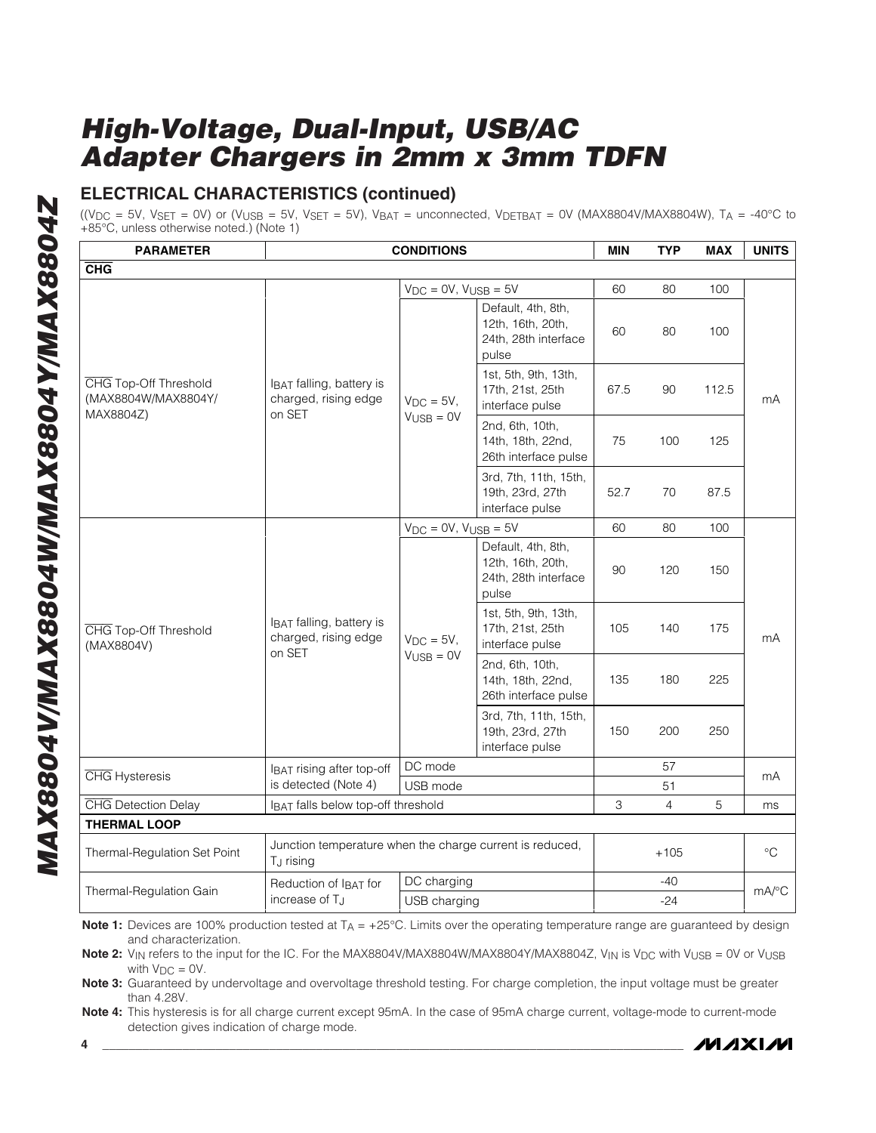## **ELECTRICAL CHARACTERISTICS (continued)**

((V<sub>DC</sub> = 5V, V<sub>SET</sub> = 0V) or (V<sub>USB</sub> = 5V, V<sub>SET</sub> = 5V), V<sub>BAT</sub> = unconnected, V<sub>DETBAT</sub> = 0V (MAX8804V/MAX8804W), T<sub>A</sub> = -40°C to +85°C, unless otherwise noted.) (Note 1)

| <b>PARAMETER</b>                                          |                                                                                   | <b>CONDITIONS</b>              |                                                                          | <b>MIN</b>                | <b>TYP</b>     | <b>MAX</b> | <b>UNITS</b>    |  |
|-----------------------------------------------------------|-----------------------------------------------------------------------------------|--------------------------------|--------------------------------------------------------------------------|---------------------------|----------------|------------|-----------------|--|
| <b>CHG</b>                                                |                                                                                   |                                |                                                                          |                           |                |            |                 |  |
|                                                           |                                                                                   | $V_{DC} = 0V$ , $V_{USB} = 5V$ |                                                                          | 60                        | 80             | 100        |                 |  |
|                                                           | IBAT falling, battery is<br>charged, rising edge                                  |                                | Default, 4th, 8th,<br>12th, 16th, 20th,<br>24th, 28th interface<br>pulse | 60                        | 80             | 100        |                 |  |
| CHG Top-Off Threshold<br>(MAX8804W/MAX8804Y/<br>MAX8804Z) |                                                                                   | $V_{DC} = 5V$ ,                | 1st, 5th, 9th, 13th,<br>17th, 21st, 25th<br>interface pulse              | 67.5                      | 90             | 112.5      | mA              |  |
|                                                           | on SET                                                                            | $V_{\text{USB}} = 0V$          | 2nd, 6th, 10th,<br>14th, 18th, 22nd,<br>26th interface pulse             | 75                        | 100            | 125        |                 |  |
|                                                           |                                                                                   |                                | 3rd, 7th, 11th, 15th,<br>19th, 23rd, 27th<br>interface pulse             | 52.7                      | 70             | 87.5       |                 |  |
|                                                           |                                                                                   | $V_{DC} = 0V$ , $V_{USB} = 5V$ |                                                                          | 60                        | 80             | 100        |                 |  |
|                                                           |                                                                                   |                                | Default, 4th, 8th,<br>12th, 16th, 20th,<br>24th, 28th interface<br>pulse | 90                        | 120            | 150        | mA              |  |
| CHG Top-Off Threshold<br>(MAX8804V)                       | IBAT falling, battery is<br>charged, rising edge                                  | $V_{DC} = 5V$ ,                | 1st, 5th, 9th, 13th,<br>17th, 21st, 25th<br>interface pulse              | 105                       | 140            | 175        |                 |  |
|                                                           | on SET                                                                            | $V_{\text{USE}} = 0V$          | 2nd, 6th, 10th,<br>14th, 18th, 22nd,<br>26th interface pulse             | 135                       | 180            | 225        |                 |  |
|                                                           |                                                                                   |                                | 3rd, 7th, 11th, 15th,<br>19th, 23rd, 27th<br>interface pulse             | 150                       | 200            | 250        |                 |  |
| <b>CHG</b> Hysteresis                                     | IBAT rising after top-off                                                         | DC mode                        |                                                                          |                           | 57             |            | mA              |  |
|                                                           | is detected (Note 4)                                                              | USB mode                       |                                                                          |                           | 51             |            |                 |  |
| <b>CHG</b> Detection Delay                                | IBAT falls below top-off threshold                                                |                                |                                                                          | $\ensuremath{\mathsf{3}}$ | $\overline{4}$ | 5          | ms              |  |
| <b>THERMAL LOOP</b>                                       |                                                                                   |                                |                                                                          |                           |                |            |                 |  |
| Thermal-Regulation Set Point                              | Junction temperature when the charge current is reduced,<br>T <sub>J</sub> rising |                                |                                                                          |                           | $+105$         |            | $\rm ^{\circ}C$ |  |
| Thermal-Regulation Gain                                   | Reduction of IBAT for                                                             | DC charging                    |                                                                          |                           | $-40$          |            | mA/°C           |  |
|                                                           | increase of T <sub>J</sub>                                                        | USB charging                   |                                                                          |                           | $-24$          |            |                 |  |

**Note 1:** Devices are 100% production tested at T<sub>A</sub> = +25°C. Limits over the operating temperature range are guaranteed by design and characterization.

Note 2: V<sub>IN</sub> refers to the input for the IC. For the MAX8804V/MAX8804W/MAX8804Y/MAX8804Z, V<sub>IN</sub> is V<sub>DC</sub> with V<sub>USB</sub> = 0V or V<sub>USB</sub> with  $V_{DC} = 0V$ .

**Note 3:** Guaranteed by undervoltage and overvoltage threshold testing. For charge completion, the input voltage must be greater than 4.28V.

**Note 4:** This hysteresis is for all charge current except 95mA. In the case of 95mA charge current, voltage-mode to current-mode detection gives indication of charge mode.

*MAXM*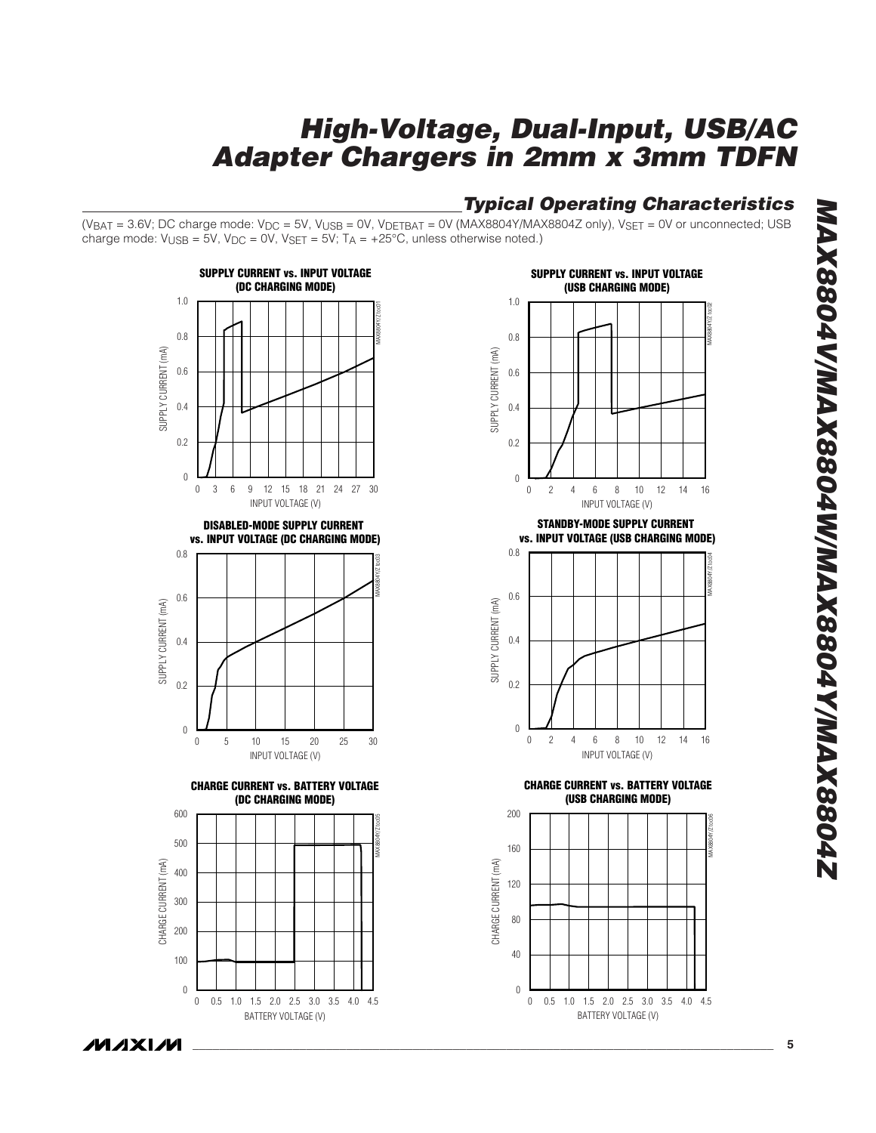## **Typical Operating Characteristics**

 $(V_{BAT} = 3.6V; DC charge mode: V_{DC} = 5V, V_{USE} = 0V, V_{DETBAT} = 0V (MAX8804Y/MAX8804Z only), V_{SET} = 0V or unconnected; USB$ charge mode:  $V_{\text{USB}} = 5V$ ,  $V_{\text{DC}} = 0V$ ,  $V_{\text{SET}} = 5V$ ;  $T_A = +25^{\circ}C$ , unless otherwise noted.)





**STANDBY-MODE SUPPLY CURRENT vs. INPUT VOLTAGE (USB CHARGING MODE)**



**CHARGE CURRENT vs. BATTERY VOLTAGE (USB CHARGING MODE)**

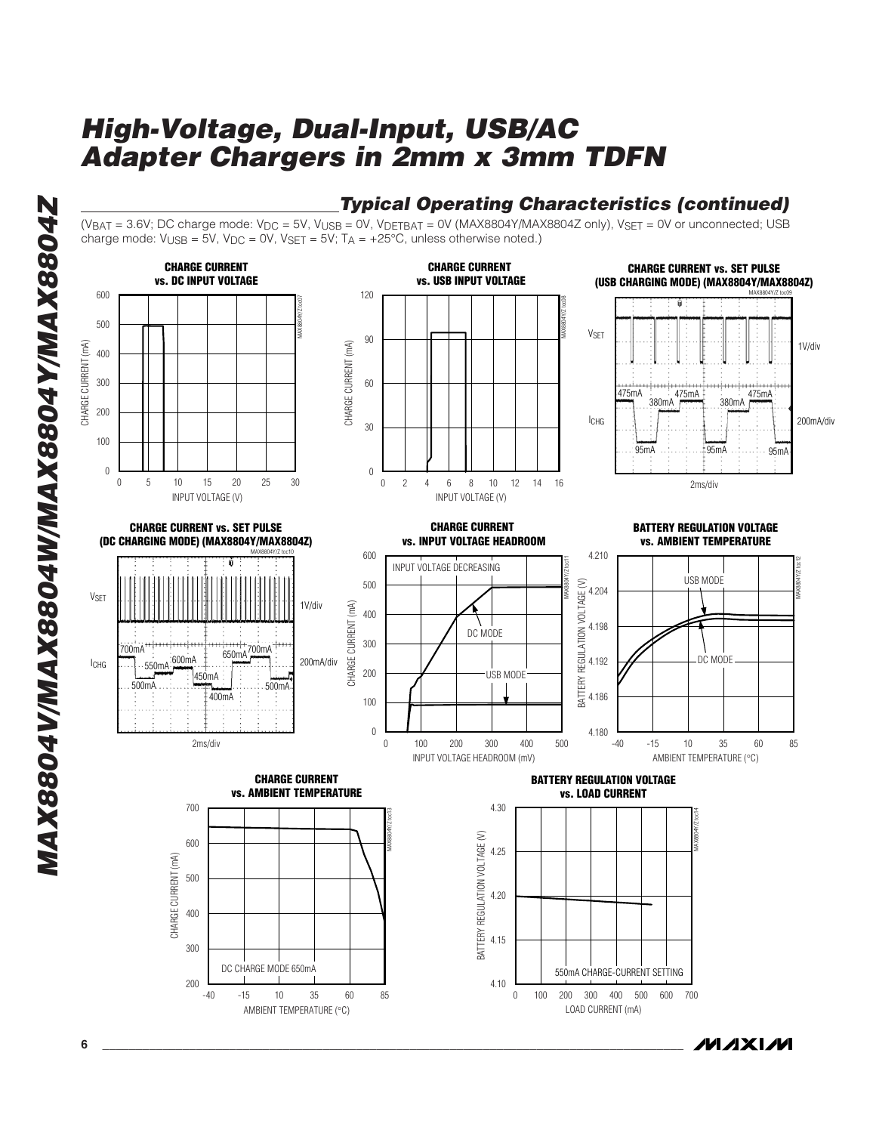

MAXIM

(VBAT = 3.6V; DC charge mode:  $V_{DC}$  = 5V, V<sub>USB</sub> = 0V, V<sub>DETBAT</sub> = 0V (MAX8804Y/MAX8804Z only), V<sub>SET</sub> = 0V or unconnected; USB charge mode:  $V_{\text{USB}} = 5V$ ,  $V_{\text{DC}} = 0V$ ,  $V_{\text{SET}} = 5V$ ;  $T_A = +25^{\circ}C$ , unless otherwise noted.)



**MAX8804V/MAX8804W/MAX8804Y/MAX8804Z** MAX8804V/MAX8804W/MAX8804Y/MAX8804Z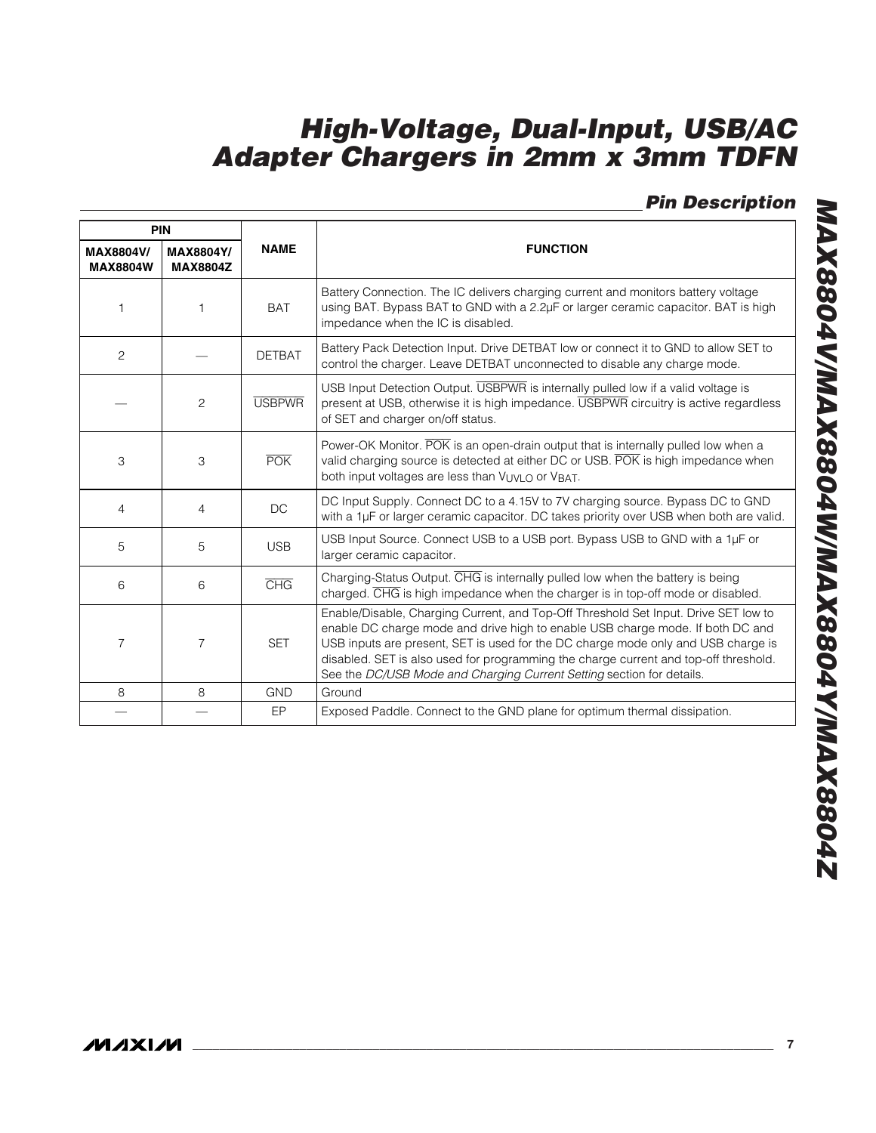## **Pin Description**

|                                     | PIN                                 |               |                                                                                                                                                                                                                                                                                                                                                                                                                             |
|-------------------------------------|-------------------------------------|---------------|-----------------------------------------------------------------------------------------------------------------------------------------------------------------------------------------------------------------------------------------------------------------------------------------------------------------------------------------------------------------------------------------------------------------------------|
| <b>MAX8804V/</b><br><b>MAX8804W</b> | <b>MAX8804Y/</b><br><b>MAX8804Z</b> | <b>NAME</b>   | <b>FUNCTION</b>                                                                                                                                                                                                                                                                                                                                                                                                             |
| $\mathbf{1}$                        | 1                                   | <b>BAT</b>    | Battery Connection. The IC delivers charging current and monitors battery voltage<br>using BAT. Bypass BAT to GND with a 2.2µF or larger ceramic capacitor. BAT is high<br>impedance when the IC is disabled.                                                                                                                                                                                                               |
| 2                                   |                                     | <b>DETBAT</b> | Battery Pack Detection Input. Drive DETBAT low or connect it to GND to allow SET to<br>control the charger. Leave DETBAT unconnected to disable any charge mode.                                                                                                                                                                                                                                                            |
|                                     | $\overline{c}$                      | <b>USBPWR</b> | USB Input Detection Output. USBPWR is internally pulled low if a valid voltage is<br>present at USB, otherwise it is high impedance. USBPWR circuitry is active regardless<br>of SET and charger on/off status.                                                                                                                                                                                                             |
| 3                                   | 3                                   | POK           | Power-OK Monitor. POK is an open-drain output that is internally pulled low when a<br>valid charging source is detected at either DC or USB. POK is high impedance when<br>both input voltages are less than VUVLO or VBAT.                                                                                                                                                                                                 |
| 4                                   | $\overline{4}$                      | <b>DC</b>     | DC Input Supply. Connect DC to a 4.15V to 7V charging source. Bypass DC to GND<br>with a 1µF or larger ceramic capacitor. DC takes priority over USB when both are valid.                                                                                                                                                                                                                                                   |
| 5                                   | 5                                   | <b>USB</b>    | USB Input Source. Connect USB to a USB port. Bypass USB to GND with a 1µF or<br>larger ceramic capacitor.                                                                                                                                                                                                                                                                                                                   |
| 6                                   | 6                                   | CHG           | Charging-Status Output. CHG is internally pulled low when the battery is being<br>charged. CHG is high impedance when the charger is in top-off mode or disabled.                                                                                                                                                                                                                                                           |
| $\overline{7}$                      | $\overline{7}$                      | <b>SET</b>    | Enable/Disable, Charging Current, and Top-Off Threshold Set Input. Drive SET low to<br>enable DC charge mode and drive high to enable USB charge mode. If both DC and<br>USB inputs are present, SET is used for the DC charge mode only and USB charge is<br>disabled. SET is also used for programming the charge current and top-off threshold.<br>See the DC/USB Mode and Charging Current Setting section for details. |
| 8                                   | 8                                   | <b>GND</b>    | Ground                                                                                                                                                                                                                                                                                                                                                                                                                      |
|                                     |                                     | <b>EP</b>     | Exposed Paddle. Connect to the GND plane for optimum thermal dissipation.                                                                                                                                                                                                                                                                                                                                                   |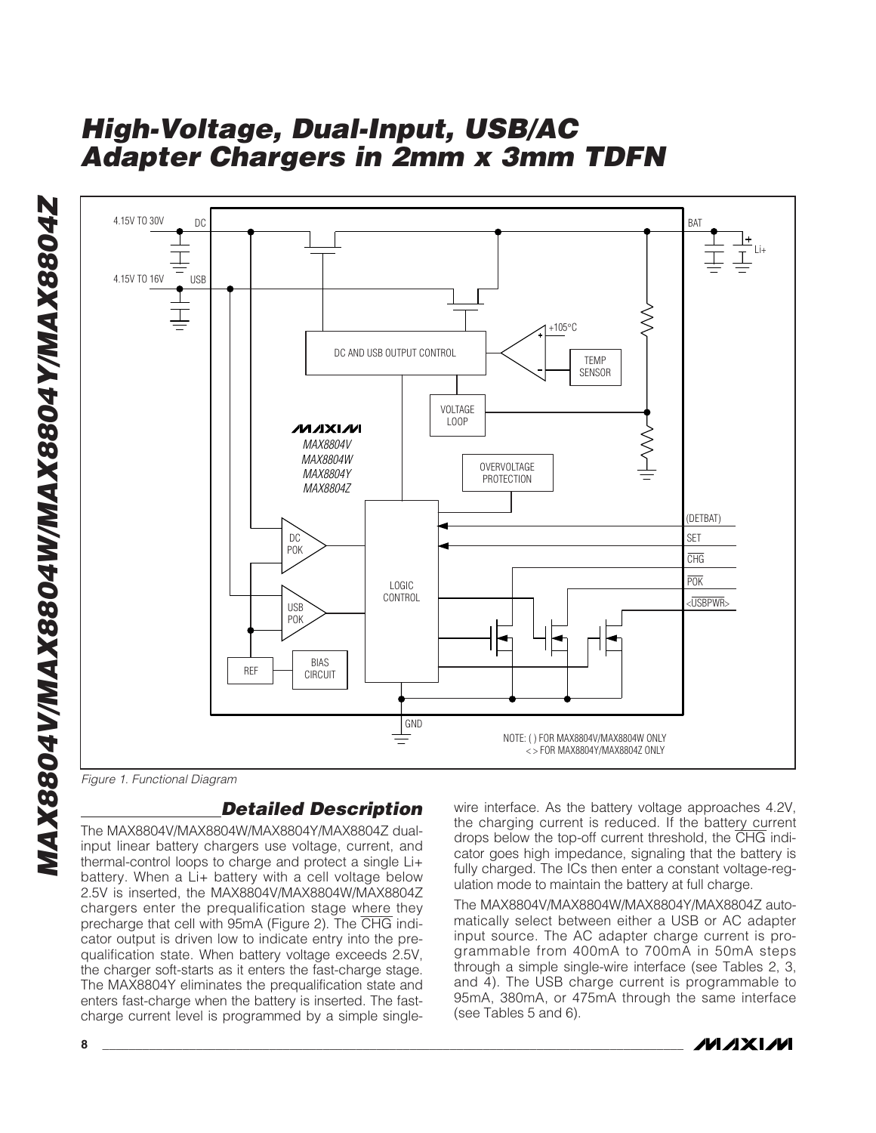

Figure 1. Functional Diagram

### **Detailed Description**

The MAX8804V/MAX8804W/MAX8804Y/MAX8804Z dualinput linear battery chargers use voltage, current, and thermal-control loops to charge and protect a single Li+ battery. When a Li+ battery with a cell voltage below 2.5V is inserted, the MAX8804V/MAX8804W/MAX8804Z chargers enter the prequalification stage where they precharge that cell with 95mA (Figure 2). The CHG indicator output is driven low to indicate entry into the prequalification state. When battery voltage exceeds 2.5V, the charger soft-starts as it enters the fast-charge stage. The MAX8804Y eliminates the prequalification state and enters fast-charge when the battery is inserted. The fastcharge current level is programmed by a simple singlewire interface. As the battery voltage approaches 4.2V, the charging current is reduced. If the battery current drops below the top-off current threshold, the CHG indicator goes high impedance, signaling that the battery is fully charged. The ICs then enter a constant voltage-regulation mode to maintain the battery at full charge.

The MAX8804V/MAX8804W/MAX8804Y/MAX8804Z automatically select between either a USB or AC adapter input source. The AC adapter charge current is programmable from 400mA to 700mA in 50mA steps through a simple single-wire interface (see Tables 2, 3, and 4). The USB charge current is programmable to 95mA, 380mA, or 475mA through the same interface (see Tables 5 and 6).

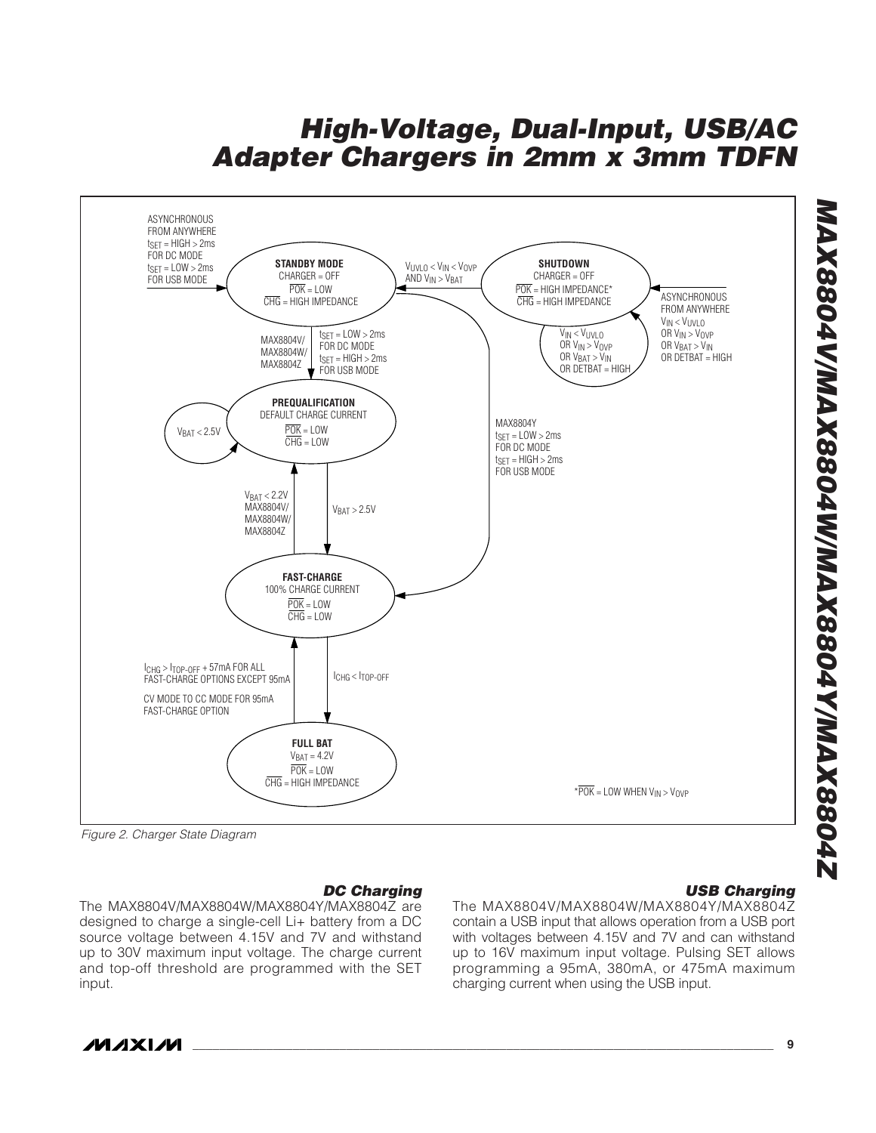

Figure 2. Charger State Diagram

### **DC Charging**

The MAX8804V/MAX8804W/MAX8804Y/MAX8804Z are designed to charge a single-cell Li+ battery from a DC source voltage between 4.15V and 7V and withstand up to 30V maximum input voltage. The charge current and top-off threshold are programmed with the SET input.

### **USB Charging**

The MAX8804V/MAX8804W/MAX8804Y/MAX8804Z contain a USB input that allows operation from a USB port with voltages between 4.15V and 7V and can withstand up to 16V maximum input voltage. Pulsing SET allows programming a 95mA, 380mA, or 475mA maximum charging current when using the USB input.



**\_\_\_\_\_\_\_\_\_\_\_\_\_\_\_\_\_\_\_\_\_\_\_\_\_\_\_\_\_\_\_\_\_\_\_\_\_\_\_\_\_\_\_\_\_\_\_\_\_\_\_\_\_\_\_\_\_\_\_\_\_\_\_\_\_\_\_\_\_\_\_\_\_\_\_\_\_\_\_\_\_\_\_\_\_\_\_ 9**

**MAX8804V/MAX8804W/MAX8804Y/MAX8804Z**

776887774778804728804M/M2X8804Y/MAX88047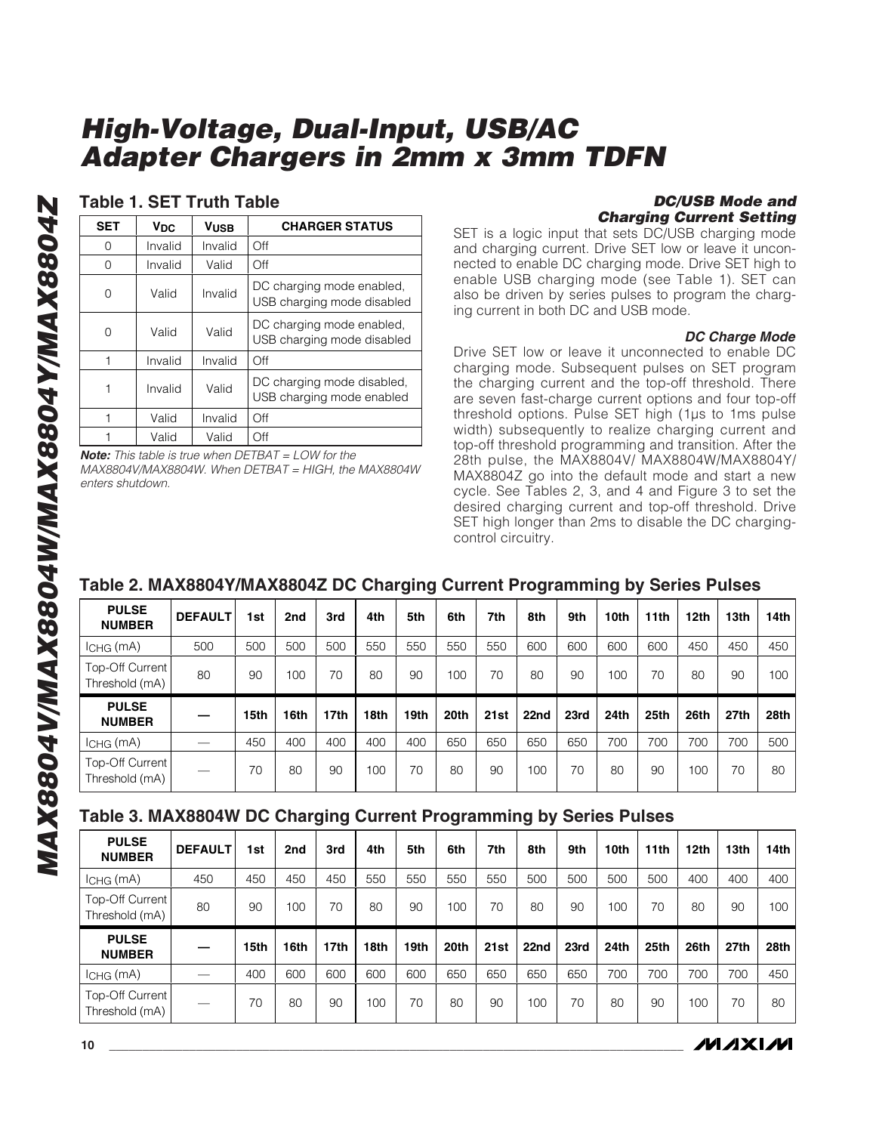### **Table 1. SET Truth Table**

| <b>SET</b> | VDC     | Vusb    | <b>CHARGER STATUS</b>                                   |
|------------|---------|---------|---------------------------------------------------------|
| Ω          | Invalid | Invalid | Off                                                     |
| 0          | Invalid | Valid   | Off                                                     |
| Ω          | Valid   | Invalid | DC charging mode enabled,<br>USB charging mode disabled |
| 0          | Valid   | Valid   | DC charging mode enabled,<br>USB charging mode disabled |
|            | Invalid | Invalid | Off                                                     |
|            | Invalid | Valid   | DC charging mode disabled,<br>USB charging mode enabled |
|            | Valid   | Invalid | Off                                                     |
|            | Valid   | Valid   | Off                                                     |

**Note:** This table is true when DETBAT = LOW for the MAX8804V/MAX8804W. When DETBAT = HIGH, the MAX8804W enters shutdown.

#### **DC/USB Mode and Charging Current Setting**

SET is a logic input that sets DC/USB charging mode and charging current. Drive SET low or leave it unconnected to enable DC charging mode. Drive SET high to enable USB charging mode (see Table 1). SET can also be driven by series pulses to program the charging current in both DC and USB mode.

#### **DC Charge Mode**

Drive SET low or leave it unconnected to enable DC charging mode. Subsequent pulses on SET program the charging current and the top-off threshold. There are seven fast-charge current options and four top-off threshold options. Pulse SET high (1µs to 1ms pulse width) subsequently to realize charging current and top-off threshold programming and transition. After the 28th pulse, the MAX8804V/ MAX8804W/MAX8804Y/ MAX8804Z go into the default mode and start a new cycle. See Tables 2, 3, and 4 and Figure 3 to set the desired charging current and top-off threshold. Drive SET high longer than 2ms to disable the DC chargingcontrol circuitry.

### **Table 2. MAX8804Y/MAX8804Z DC Charging Current Programming by Series Pulses**

| <b>PULSE</b><br><b>NUMBER</b>     | <b>DEFAULT</b> | 1st  | 2nd  | 3rd              | 4th  | 5th              | 6th  | 7th  | 8th  | 9th  | 10th | 11 <sub>th</sub> | 12th | 13th             | 14th |
|-----------------------------------|----------------|------|------|------------------|------|------------------|------|------|------|------|------|------------------|------|------------------|------|
| $lCHG$ (mA)                       | 500            | 500  | 500  | 500              | 550  | 550              | 550  | 550  | 600  | 600  | 600  | 600              | 450  | 450              | 450  |
| Top-Off Current<br>Threshold (mA) | 80             | 90   | 100  | 70               | 80   | 90               | 100  | 70   | 80   | 90   | 100  | 70               | 80   | 90               | 100  |
|                                   |                |      |      |                  |      |                  |      |      |      |      |      |                  |      |                  |      |
| <b>PULSE</b><br><b>NUMBER</b>     |                | 15th | 16th | 17 <sub>th</sub> | 18th | 19 <sub>th</sub> | 20th | 21st | 22nd | 23rd | 24th | 25th             | 26th | 27 <sub>th</sub> | 28th |
| $lCHG$ (mA)                       |                | 450  | 400  | 400              | 400  | 400              | 650  | 650  | 650  | 650  | 700  | 700              | 700  | 700              | 500  |

### **Table 3. MAX8804W DC Charging Current Programming by Series Pulses**

| <b>PULSE</b><br><b>NUMBER</b>     | <b>DEFAULT</b> | 1st  | 2nd  | 3rd              | 4th  | 5th              | 6th  | 7th  | 8th  | 9th  | 10th             | 11 <sub>th</sub> | 12 <sub>th</sub> | 13th             | 14th |
|-----------------------------------|----------------|------|------|------------------|------|------------------|------|------|------|------|------------------|------------------|------------------|------------------|------|
| ICHG (MA)                         | 450            | 450  | 450  | 450              | 550  | 550              | 550  | 550  | 500  | 500  | 500              | 500              | 400              | 400              | 400  |
| Top-Off Current<br>Threshold (mA) | 80             | 90   | 100  | 70               | 80   | 90               | 100  | 70   | 80   | 90   | 100              | 70               | 80               | 90               | 100  |
|                                   |                |      |      |                  |      |                  |      |      |      |      |                  |                  |                  |                  |      |
| <b>PULSE</b><br><b>NUMBER</b>     |                | 15th | 16th | 17 <sub>th</sub> | 18th | 19 <sub>th</sub> | 20th | 21st | 22nd | 23rd | 24 <sub>th</sub> | 25th             | 26th             | 27 <sub>th</sub> | 28th |
| ICHG (MA)                         |                | 400  | 600  | 600              | 600  | 600              | 650  | 650  | 650  | 650  | 700              | 700              | 700              | 700              | 450  |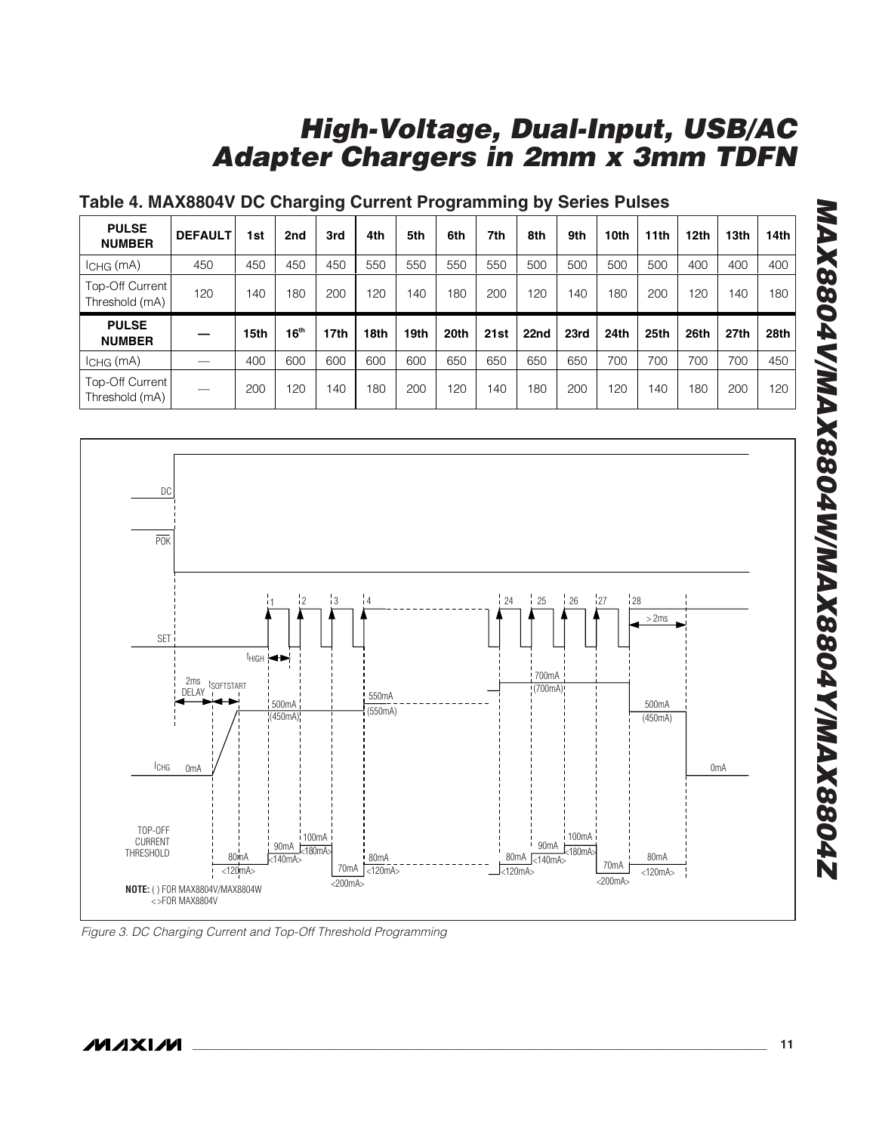### **Table 4. MAX8804V DC Charging Current Programming by Series Pulses**

| <b>PULSE</b><br><b>NUMBER</b>     | <b>DEFAULT</b> | 1st  | 2nd              | 3rd  | 4th  | 5th  | 6th  | 7th  | 8th  | 9th  | 10th | 11 <sub>th</sub> | 12 <sub>th</sub> | 13th             | 14th |
|-----------------------------------|----------------|------|------------------|------|------|------|------|------|------|------|------|------------------|------------------|------------------|------|
| $ICHG$ (mA)                       | 450            | 450  | 450              | 450  | 550  | 550  | 550  | 550  | 500  | 500  | 500  | 500              | 400              | 400              | 400  |
| Top-Off Current<br>Threshold (mA) | 120            | 140  | 180              | 200  | 120  | 140  | 180  | 200  | 120  | 140  | 180  | 200              | 120              | 140              | 180  |
|                                   |                |      |                  |      |      |      |      |      |      |      |      |                  |                  |                  |      |
| <b>PULSE</b><br><b>NUMBER</b>     |                | 15th | 16 <sup>th</sup> | 17th | 18th | 19th | 20th | 21st | 22nd | 23rd | 24th | 25th             | 26th             | 27 <sub>th</sub> | 28th |
| $ICHG$ ( $mA$ )                   |                | 400  | 600              | 600  | 600  | 600  | 650  | 650  | 650  | 650  | 700  | 700              | 700              | 700              | 450  |



Figure 3. DC Charging Current and Top-Off Threshold Programming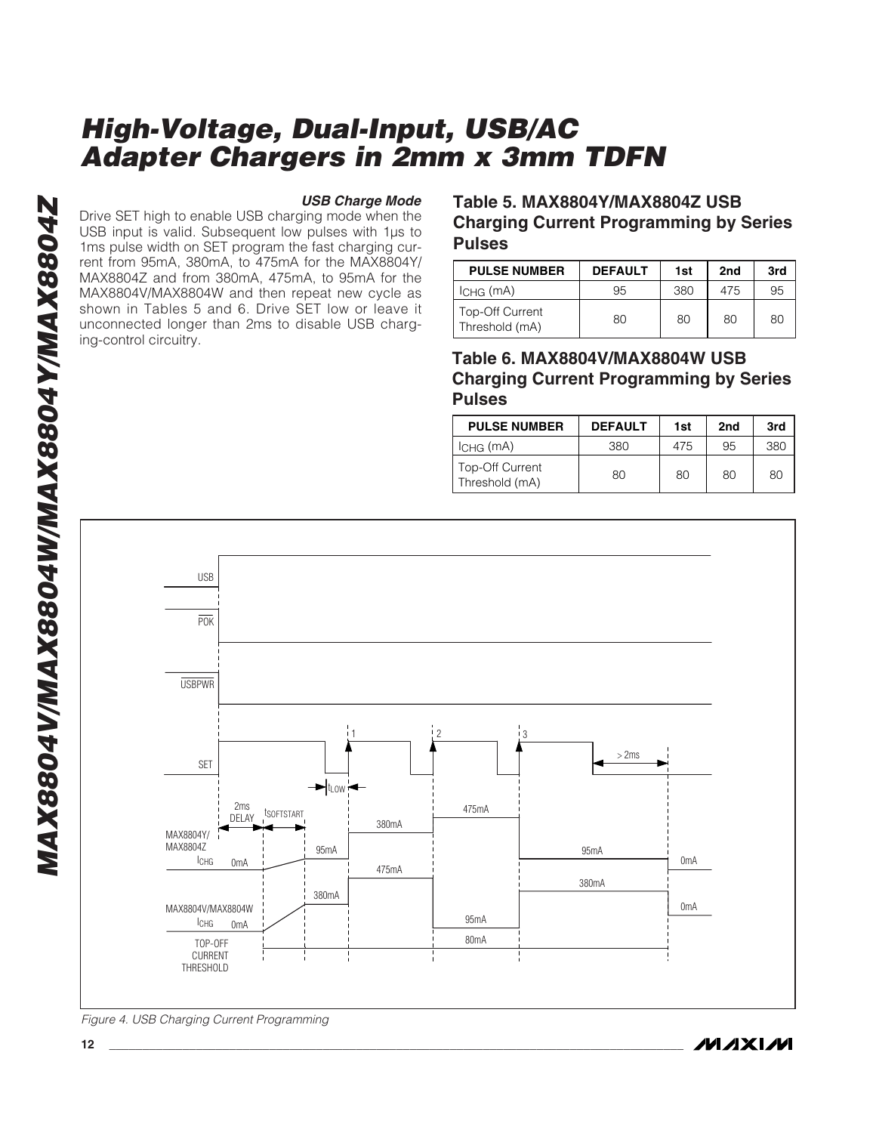**MAX8804V/MAX8804W/MAX8804Y/MAX8804Z** MAX8804V/MAX8804W/MAX8804Y/MAX8804Z

#### **USB Charge Mode**

Drive SET high to enable USB charging mode when the USB input is valid. Subsequent low pulses with 1µs to 1ms pulse width on SET program the fast charging current from 95mA, 380mA, to 475mA for the MAX8804Y/ MAX8804Z and from 380mA, 475mA, to 95mA for the MAX8804V/MAX8804W and then repeat new cycle as shown in Tables 5 and 6. Drive SET low or leave it unconnected longer than 2ms to disable USB charging-control circuitry.

### **Table 5. MAX8804Y/MAX8804Z USB Charging Current Programming by Series Pulses**

| <b>PULSE NUMBER</b>                      | <b>DEFAULT</b> | 1st | 2 <sub>nd</sub> | 3rd |
|------------------------------------------|----------------|-----|-----------------|-----|
| ' Існа (mA)                              | 95             | 380 | 475             | 95  |
| <b>Top-Off Current</b><br>Threshold (mA) | 80             | 80  | 80              | 80  |

**Table 6. MAX8804V/MAX8804W USB Charging Current Programming by Series Pulses**

| <b>PULSE NUMBER</b>               | <b>DEFAULT</b> | 1st | 2 <sub>nd</sub> | 3rd |
|-----------------------------------|----------------|-----|-----------------|-----|
| $ICHG$ (mA)                       | 380            | 475 | 95              | 380 |
| Top-Off Current<br>Threshold (mA) | 80             | 80  | 80              | 80  |



Figure 4. USB Charging Current Programming

*IVI A* XI*IV*I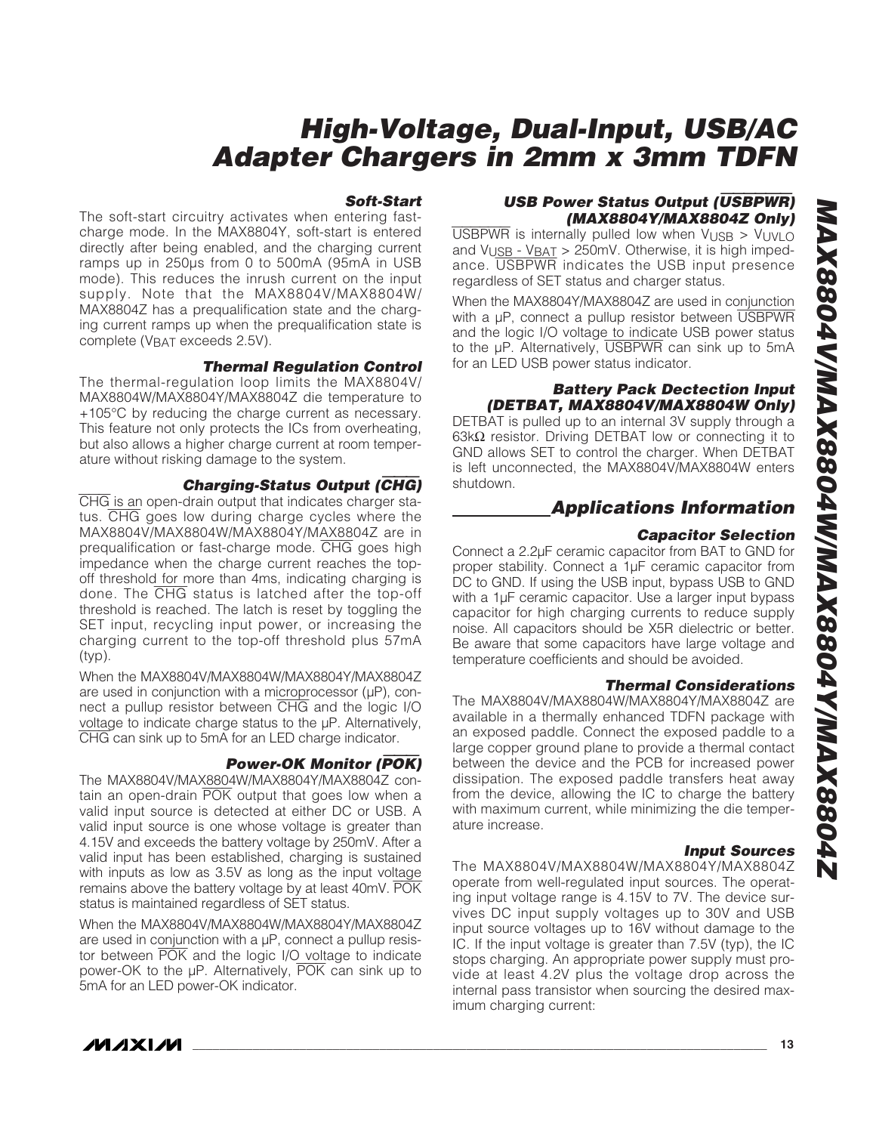#### **Soft-Start**

The soft-start circuitry activates when entering fastcharge mode. In the MAX8804Y, soft-start is entered directly after being enabled, and the charging current ramps up in 250µs from 0 to 500mA (95mA in USB mode). This reduces the inrush current on the input supply. Note that the MAX8804V/MAX8804W/ MAX8804Z has a prequalification state and the charging current ramps up when the prequalification state is complete (VBAT exceeds 2.5V).

#### **Thermal Regulation Control**

The thermal-regulation loop limits the MAX8804V/ MAX8804W/MAX8804Y/MAX8804Z die temperature to +105°C by reducing the charge current as necessary. This feature not only protects the ICs from overheating, but also allows a higher charge current at room temperature without risking damage to the system.

#### **Charging-Status Output (**CHG**)**

CHG is an open-drain output that indicates charger status. CHG goes low during charge cycles where the MAX8804V/MAX8804W/MAX8804Y/MAX8804Z are in prequalification or fast-charge mode. CHG goes high impedance when the charge current reaches the topoff threshold for more than 4ms, indicating charging is done. The CHG status is latched after the top-off threshold is reached. The latch is reset by toggling the SET input, recycling input power, or increasing the charging current to the top-off threshold plus 57mA (typ).

When the MAX8804V/MAX8804W/MAX8804Y/MAX8804Z are used in conjunction with a microprocessor (µP), connect a pullup resistor between CHG and the logic I/O voltage to indicate charge status to the µP. Alternatively, CHG can sink up to 5mA for an LED charge indicator.

### **Power-OK Monitor (**POK**)**

The MAX8804V/MAX8804W/MAX8804Y/MAX8804Z contain an open-drain POK output that goes low when a valid input source is detected at either DC or USB. A valid input source is one whose voltage is greater than 4.15V and exceeds the battery voltage by 250mV. After a valid input has been established, charging is sustained with inputs as low as 3.5V as long as the input voltage remains above the battery voltage by at least 40mV. POK status is maintained regardless of SET status.

When the MAX8804V/MAX8804W/MAX8804Y/MAX8804Z are used in conjunction with a  $\mu$ P, connect a pullup resistor between POK and the logic I/O voltage to indicate power-OK to the µP. Alternatively, POK can sink up to 5mA for an LED power-OK indicator.

### **USB Power Status Output (**USBPWR**) (MAX8804Y/MAX8804Z Only)**

 $\overline{USB PWR}$  is internally pulled low when  $V_{\text{USB}} > V_{\text{UVLO}}$ and  $V_{\text{USB}}$  -  $V_{\text{BAT}}$  > 250mV. Otherwise, it is high impedance. USBPWR indicates the USB input presence regardless of SET status and charger status.

When the MAX8804Y/MAX8804Z are used in conjunction with a uP, connect a pullup resistor between USBPWR and the logic I/O voltage to indicate USB power status to the µP. Alternatively, USBPWR can sink up to 5mA for an LED USB power status indicator.

#### **Battery Pack Dectection Input (DETBAT, MAX8804V/MAX8804W Only)**

DETBAT is pulled up to an internal 3V supply through a 63kΩ resistor. Driving DETBAT low or connecting it to GND allows SET to control the charger. When DETBAT is left unconnected, the MAX8804V/MAX8804W enters shutdown.

### **Applications Information**

#### **Capacitor Selection**

Connect a 2.2µF ceramic capacitor from BAT to GND for proper stability. Connect a 1µF ceramic capacitor from DC to GND. If using the USB input, bypass USB to GND with a 1µF ceramic capacitor. Use a larger input bypass capacitor for high charging currents to reduce supply noise. All capacitors should be X5R dielectric or better. Be aware that some capacitors have large voltage and temperature coefficients and should be avoided.

#### **Thermal Considerations**

The MAX8804V/MAX8804W/MAX8804Y/MAX8804Z are available in a thermally enhanced TDFN package with an exposed paddle. Connect the exposed paddle to a large copper ground plane to provide a thermal contact between the device and the PCB for increased power dissipation. The exposed paddle transfers heat away from the device, allowing the IC to charge the battery with maximum current, while minimizing the die temperature increase.

### **Input Sources**

The MAX8804V/MAX8804W/MAX8804Y/MAX8804Z operate from well-regulated input sources. The operating input voltage range is 4.15V to 7V. The device survives DC input supply voltages up to 30V and USB input source voltages up to 16V without damage to the IC. If the input voltage is greater than 7.5V (typ), the IC stops charging. An appropriate power supply must provide at least 4.2V plus the voltage drop across the internal pass transistor when sourcing the desired maximum charging current:

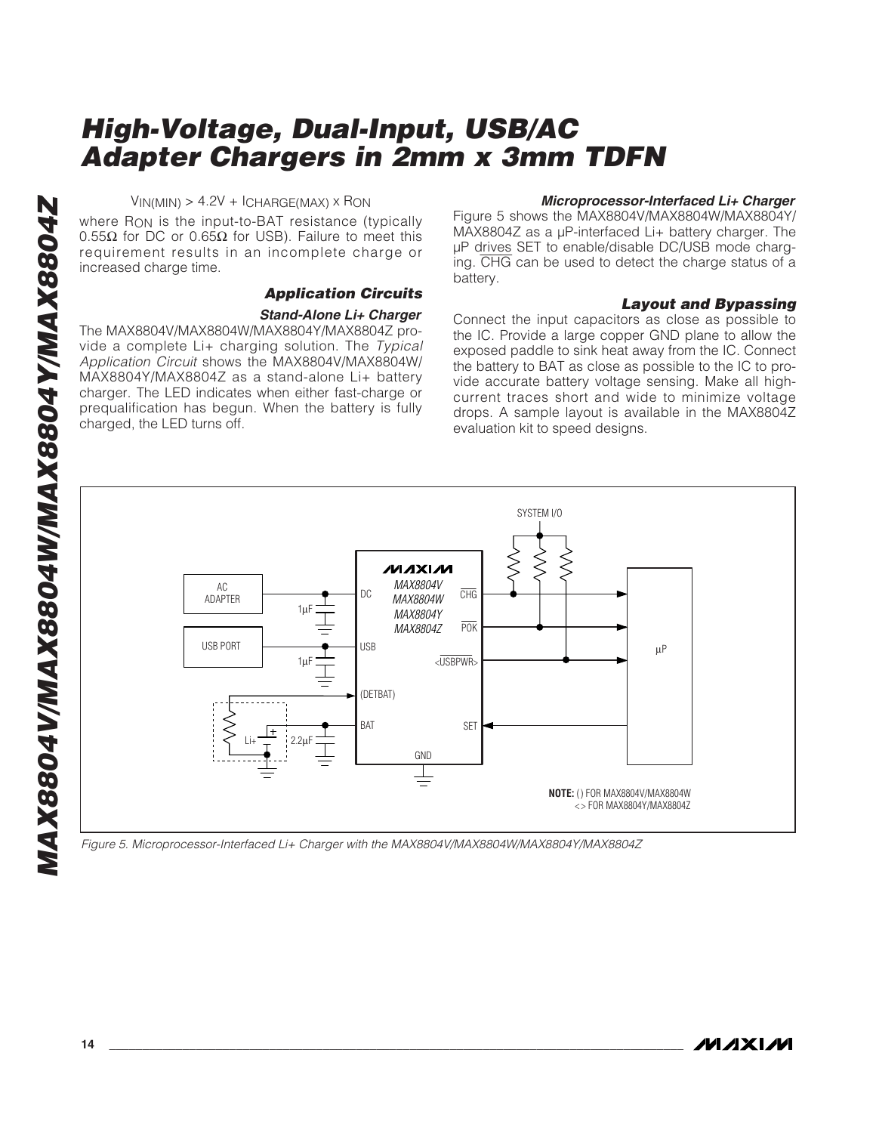$V_{IN(MIN)} > 4.2V + ICHARGE(MAX) \times RON$ 

where R<sub>ON</sub> is the input-to-BAT resistance (typically 0.55Ω for DC or 0.65Ω for USB). Failure to meet this requirement results in an incomplete charge or increased charge time.

#### **Application Circuits Stand-Alone Li+ Charger**

The MAX8804V/MAX8804W/MAX8804Y/MAX8804Z provide a complete Li+ charging solution. The Typical Application Circuit shows the MAX8804V/MAX8804W/ MAX8804Y/MAX8804Z as a stand-alone Li+ battery charger. The LED indicates when either fast-charge or prequalification has begun. When the battery is fully charged, the LED turns off.

#### **Microprocessor-Interfaced Li+ Charger**

Figure 5 shows the MAX8804V/MAX8804W/MAX8804Y/ MAX8804Z as a µP-interfaced Li+ battery charger. The µP drives SET to enable/disable DC/USB mode charging. CHG can be used to detect the charge status of a battery.

### **Layout and Bypassing**

Connect the input capacitors as close as possible to the IC. Provide a large copper GND plane to allow the exposed paddle to sink heat away from the IC. Connect the battery to BAT as close as possible to the IC to provide accurate battery voltage sensing. Make all highcurrent traces short and wide to minimize voltage drops. A sample layout is available in the MAX8804Z evaluation kit to speed designs.



Figure 5. Microprocessor-Interfaced Li+ Charger with the MAX8804V/MAX8804W/MAX8804Y/MAX8804Z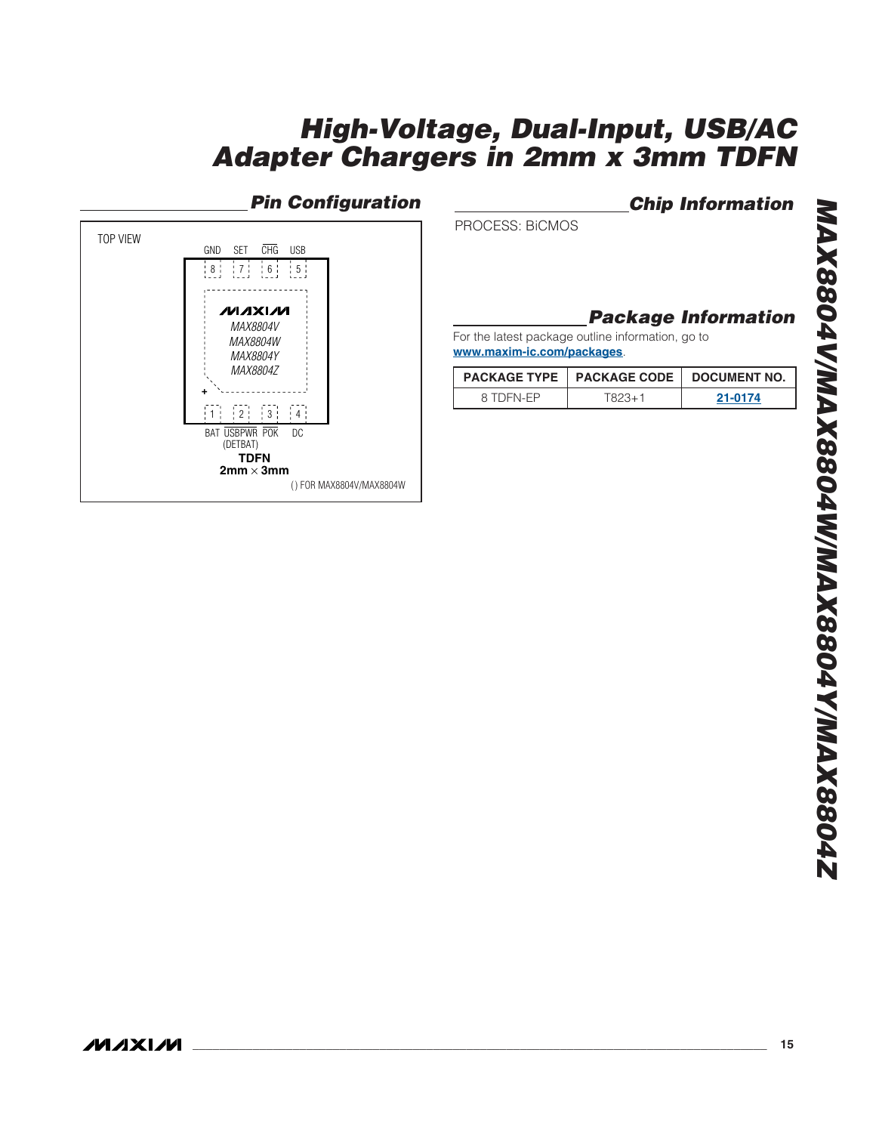## **Pin Configuration**



**Chip Information**

PROCESS: BiCMOS

## **Package Information**

For the latest package outline information, go to **www.maxim-ic.com/packages**.

|           | PACKAGE TYPE   PACKAGE CODE   DOCUMENT NO. |         |
|-----------|--------------------------------------------|---------|
| 8 TDEN-FP | 1823+1                                     | 21-0174 |

**MAXIM**